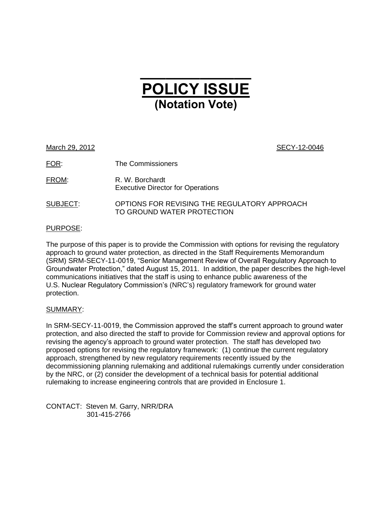# **\_\_\_\_\_\_\_\_\_\_\_\_\_ POLICY ISSUE (Notation Vote)**

March 29, 2012 **SECY-12-0046** 

FOR: The Commissioners

FROM: R. W. Borchardt Executive Director for Operations

SUBJECT: OPTIONS FOR REVISING THE REGULATORY APPROACH TO GROUND WATER PROTECTION

## PURPOSE:

The purpose of this paper is to provide the Commission with options for revising the regulatory approach to ground water protection, as directed in the Staff Requirements Memorandum (SRM) SRM-SECY-11-0019, "Senior Management Review of Overall Regulatory Approach to Groundwater Protection," dated August 15, 2011. In addition, the paper describes the high-level communications initiatives that the staff is using to enhance public awareness of the U.S. Nuclear Regulatory Commission's (NRC's) regulatory framework for ground water protection.

## SUMMARY:

In SRM-SECY-11-0019, the Commission approved the staff"s current approach to ground water protection, and also directed the staff to provide for Commission review and approval options for revising the agency"s approach to ground water protection. The staff has developed two proposed options for revising the regulatory framework: (1) continue the current regulatory approach, strengthened by new regulatory requirements recently issued by the decommissioning planning rulemaking and additional rulemakings currently under consideration by the NRC, or (2) consider the development of a technical basis for potential additional rulemaking to increase engineering controls that are provided in Enclosure 1.

CONTACT: Steven M. Garry, NRR/DRA 301-415-2766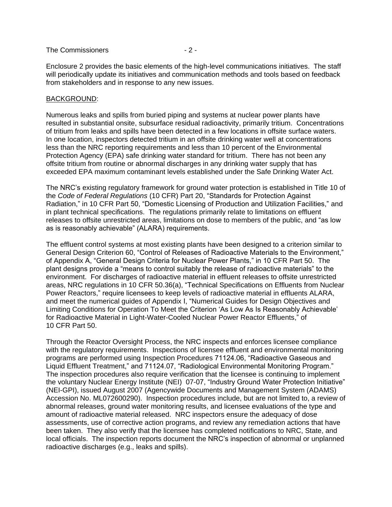#### The Commissioners  $-2$  -

Enclosure 2 provides the basic elements of the high-level communications initiatives. The staff will periodically update its initiatives and communication methods and tools based on feedback from stakeholders and in response to any new issues.

#### BACKGROUND:

Numerous leaks and spills from buried piping and systems at nuclear power plants have resulted in substantial onsite, subsurface residual radioactivity, primarily tritium. Concentrations of tritium from leaks and spills have been detected in a few locations in offsite surface waters. In one location, inspectors detected tritium in an offsite drinking water well at concentrations less than the NRC reporting requirements and less than 10 percent of the Environmental Protection Agency (EPA) safe drinking water standard for tritium. There has not been any offsite tritium from routine or abnormal discharges in any drinking water supply that has exceeded EPA maximum contaminant levels established under the Safe Drinking Water Act.

The NRC"s existing regulatory framework for ground water protection is established in Title 10 of the *Code of Federal Regulations* (10 CFR) Part 20, "Standards for Protection Against Radiation," in 10 CFR Part 50, "Domestic Licensing of Production and Utilization Facilities," and in plant technical specifications. The regulations primarily relate to limitations on effluent releases to offsite unrestricted areas, limitations on dose to members of the public, and "as low as is reasonably achievable" (ALARA) requirements.

The effluent control systems at most existing plants have been designed to a criterion similar to General Design Criterion 60, "Control of Releases of Radioactive Materials to the Environment," of Appendix A, "General Design Criteria for Nuclear Power Plants," in 10 CFR Part 50. The plant designs provide a "means to control suitably the release of radioactive materials" to the environment. For discharges of radioactive material in effluent releases to offsite unrestricted areas, NRC regulations in 10 CFR 50.36(a), "Technical Specifications on Effluents from Nuclear Power Reactors," require licensees to keep levels of radioactive material in effluents ALARA, and meet the numerical guides of Appendix I, ["Numerical Guides for Design Objectives and](http://www.nrc.gov/reading-rm/doc-collections/cfr/part050/part050-appi.html)  [Limiting Conditions for Operation To Meet the Criterion "As Low As Is Reasonably Achievable"](http://www.nrc.gov/reading-rm/doc-collections/cfr/part050/part050-appi.html)  [for Radioactive Material in Light-Water-Cooled Nuclear Power Reactor Effluents,](http://www.nrc.gov/reading-rm/doc-collections/cfr/part050/part050-appi.html)" of 10 CFR Part 50.

Through the Reactor Oversight Process, the NRC inspects and enforces licensee compliance with the regulatory requirements. Inspections of licensee effluent and environmental monitoring programs are performed using Inspection Procedures 71124.06, "Radioactive Gaseous and Liquid Effluent Treatment," and 71124.07, "Radiological Environmental Monitoring Program." The inspection procedures also require verification that the licensee is continuing to implement the voluntary Nuclear Energy Institute (NEI) 07-07, "Industry Ground Water Protection Initiative" (NEI-GPI), issued August 2007 (Agencywide Documents and Management System (ADAMS) Accession No. ML072600290). Inspection procedures include, but are not limited to, a review of abnormal releases, ground water monitoring results, and licensee evaluations of the type and amount of radioactive material released. NRC inspectors ensure the adequacy of dose assessments, use of corrective action programs, and review any remediation actions that have been taken. They also verify that the licensee has completed notifications to NRC, State, and local officials. The inspection reports document the NRC"s inspection of abnormal or unplanned radioactive discharges (e.g., leaks and spills).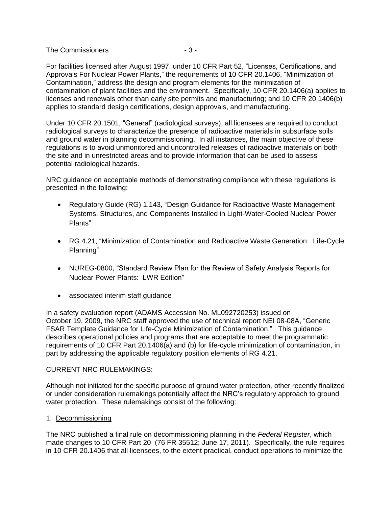The Commissioners  $-3 -$ 

For facilities licensed after August 1997, under 10 CFR Part 52, "Licenses, Certifications, and Approvals For Nuclear Power Plants," the requirements of 10 CFR 20.1406, "Minimization of Contamination," address the design and program elements for the minimization of contamination of plant facilities and the environment. Specifically, 10 CFR 20.1406(a) applies to licenses and renewals other than early site permits and manufacturing; and 10 CFR 20.1406(b) applies to standard design certifications, design approvals, and manufacturing.

Under 10 CFR 20.1501, "General" (radiological surveys), all licensees are required to conduct radiological surveys to characterize the presence of radioactive materials in subsurface soils and ground water in planning decommissioning. In all instances, the main objective of these regulations is to avoid unmonitored and uncontrolled releases of radioactive materials on both the site and in unrestricted areas and to provide information that can be used to assess potential radiological hazards.

NRC guidance on acceptable methods of demonstrating compliance with these regulations is presented in the following:

- Regulatory Guide (RG) 1.143, "Design Guidance for Radioactive Waste Management Systems, Structures, and Components Installed in Light-Water-Cooled Nuclear Power Plants"
- RG 4.21, "Minimization of Contamination and Radioactive Waste Generation: Life-Cycle Planning"
- NUREG-0800, "Standard Review Plan for the Review of Safety Analysis Reports for Nuclear Power Plants: LWR Edition"
- associated interim staff guidance

In a safety evaluation report (ADAMS Accession No. ML092720253) issued on October 19, 2009, the NRC staff approved the use of technical report NEI 08-08A, "Generic FSAR Template Guidance for Life-Cycle Minimization of Contamination." This guidance describes operational policies and programs that are acceptable to meet the programmatic requirements of 10 CFR Part 20.1406(a) and (b) for life-cycle minimization of contamination, in part by addressing the applicable regulatory position elements of RG 4.21.

#### CURRENT NRC RULEMAKINGS:

Although not initiated for the specific purpose of ground water protection, other recently finalized or under consideration rulemakings potentially affect the NRC"s regulatory approach to ground water protection. These rulemakings consist of the following:

## 1. Decommissioning

The NRC published a final rule on decommissioning planning in the *Federal Register*, which made changes to 10 CFR Part 20 (76 FR 35512; June 17, 2011). Specifically, the rule requires in 10 CFR 20.1406 that all licensees, to the extent practical, conduct operations to minimize the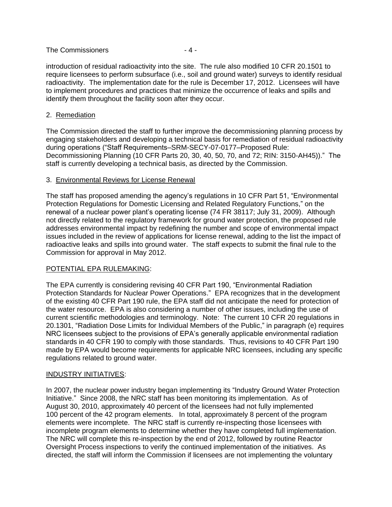#### The Commissioners  $-4-$

introduction of residual radioactivity into the site. The rule also modified 10 CFR 20.1501 to require licensees to perform subsurface (i.e., soil and ground water) surveys to identify residual radioactivity. The implementation date for the rule is December 17, 2012. Licensees will have to implement procedures and practices that minimize the occurrence of leaks and spills and identify them throughout the facility soon after they occur.

#### 2. Remediation

The Commission directed the staff to further improve the decommissioning planning process by engaging stakeholders and developing a technical basis for remediation of residual radioactivity during operations ("Staff Requirements–SRM-SECY-07-0177–Proposed Rule: Decommissioning Planning (10 CFR Parts 20, 30, 40, 50, 70, and 72; RIN: 3150-AH45))." The staff is currently developing a technical basis, as directed by the Commission.

## 3. Environmental Reviews for License Renewal

The staff has proposed amending the agency"s regulations in 10 CFR Part 51, "Environmental Protection Regulations for Domestic Licensing and Related Regulatory Functions," on the renewal of a nuclear power plant"s operating license (74 FR 38117; July 31, 2009). Although not directly related to the regulatory framework for ground water protection, the proposed rule addresses environmental impact by redefining the number and scope of environmental impact issues included in the review of applications for license renewal, adding to the list the impact of radioactive leaks and spills into ground water. The staff expects to submit the final rule to the Commission for approval in May 2012.

## POTENTIAL EPA RULEMAKING:

The EPA currently is considering revising 40 CFR Part 190, "Environmental Radiation Protection Standards for Nuclear Power Operations." EPA recognizes that in the development of the existing 40 CFR Part 190 rule, the EPA staff did not anticipate the need for protection of the water resource. EPA is also considering a number of other issues, including the use of current scientific methodologies and terminology. Note: The current 10 CFR 20 regulations in 20.1301, "Radiation Dose Limits for Individual Members of the Public," in paragraph (e) requires NRC licensees subject to the provisions of EPA"s generally applicable environmental radiation standards in 40 CFR 190 to comply with those standards. Thus, revisions to 40 CFR Part 190 made by EPA would become requirements for applicable NRC licensees, including any specific regulations related to ground water.

#### INDUSTRY INITIATIVES:

In 2007, the nuclear power industry began implementing its "Industry Ground Water Protection Initiative." Since 2008, the NRC staff has been monitoring its implementation. As of August 30, 2010, approximately 40 percent of the licensees had not fully implemented 100 percent of the 42 program elements. In total, approximately 8 percent of the program elements were incomplete. The NRC staff is currently re-inspecting those licensees with incomplete program elements to determine whether they have completed full implementation. The NRC will complete this re-inspection by the end of 2012, followed by routine Reactor Oversight Process inspections to verify the continued implementation of the initiatives. As directed, the staff will inform the Commission if licensees are not implementing the voluntary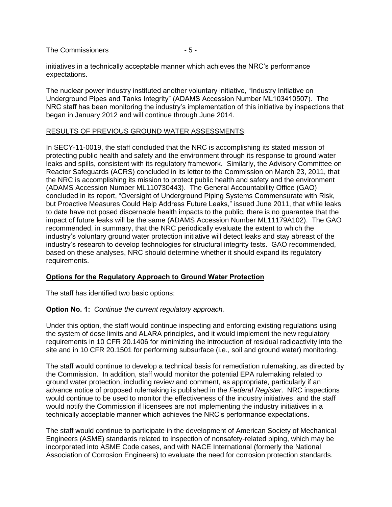The Commissioners  $-5$  -

initiatives in a technically acceptable manner which achieves the NRC"s performance expectations.

The nuclear power industry instituted another voluntary initiative, "Industry Initiative on Underground Pipes and Tanks Integrity" (ADAMS Accession Number ML103410507). The NRC staff has been monitoring the industry"s implementation of this initiative by inspections that began in January 2012 and will continue through June 2014.

#### RESULTS OF PREVIOUS GROUND WATER ASSESSMENTS:

In SECY-11-0019, the staff concluded that the NRC is accomplishing its stated mission of protecting public health and safety and the environment through its response to ground water leaks and spills, consistent with its regulatory framework. Similarly, the Advisory Committee on Reactor Safeguards (ACRS) concluded in its letter to the Commission on March 23, 2011, that the NRC is accomplishing its mission to protect public health and safety and the environment (ADAMS Accession Number ML110730443). The General Accountability Office (GAO) concluded in its report, "Oversight of Underground Piping Systems Commensurate with Risk, but Proactive Measures Could Help Address Future Leaks," issued June 2011, that while leaks to date have not posed discernable health impacts to the public, there is no guarantee that the impact of future leaks will be the same (ADAMS Accession Number ML11179A102). The GAO recommended, in summary, that the NRC periodically evaluate the extent to which the industry"s voluntary ground water protection initiative will detect leaks and stay abreast of the industry"s research to develop technologies for structural integrity tests. GAO recommended, based on these analyses, NRC should determine whether it should expand its regulatory requirements.

## **Options for the Regulatory Approach to Ground Water Protection**

The staff has identified two basic options:

## **Option No. 1:** *Continue the current regulatory approach.*

Under this option, the staff would continue inspecting and enforcing existing regulations using the system of dose limits and ALARA principles, and it would implement the new regulatory requirements in 10 CFR 20.1406 for minimizing the introduction of residual radioactivity into the site and in 10 CFR 20.1501 for performing subsurface (i.e., soil and ground water) monitoring.

The staff would continue to develop a technical basis for remediation rulemaking, as directed by the Commission. In addition, staff would monitor the potential EPA rulemaking related to ground water protection, including review and comment, as appropriate, particularly if an advance notice of proposed rulemaking is published in the *Federal Register*. NRC inspections would continue to be used to monitor the effectiveness of the industry initiatives, and the staff would notify the Commission if licensees are not implementing the industry initiatives in a technically acceptable manner which achieves the NRC"s performance expectations.

The staff would continue to participate in the development of American Society of Mechanical Engineers (ASME) standards related to inspection of nonsafety-related piping, which may be incorporated into ASME Code cases, and with NACE International (formerly the National Association of Corrosion Engineers) to evaluate the need for corrosion protection standards.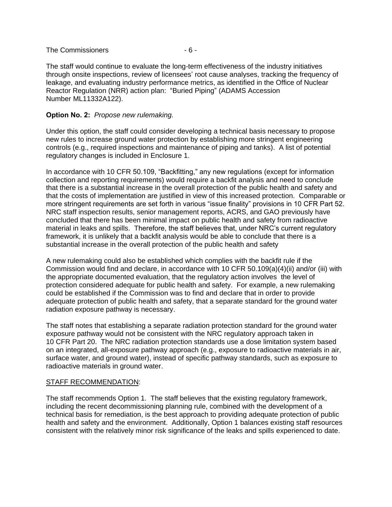#### The Commissioners  $-6 -$

The staff would continue to evaluate the long-term effectiveness of the industry initiatives through onsite inspections, review of licensees" root cause analyses, tracking the frequency of leakage, and evaluating industry performance metrics, as identified in the Office of Nuclear Reactor Regulation (NRR) action plan: "Buried Piping" (ADAMS Accession Number ML11332A122).

#### **Option No. 2:** *Propose new rulemaking.*

Under this option, the staff could consider developing a technical basis necessary to propose new rules to increase ground water protection by establishing more stringent engineering controls (e.g., required inspections and maintenance of piping and tanks). A list of potential regulatory changes is included in Enclosure 1.

In accordance with 10 CFR 50.109, "Backfitting," any new regulations (except for information collection and reporting requirements) would require a backfit analysis and need to conclude that there is a substantial increase in the overall protection of the public health and safety and that the costs of implementation are justified in view of this increased protection. Comparable or more stringent requirements are set forth in various "issue finality" provisions in 10 CFR Part 52. NRC staff inspection results, senior management reports, ACRS, and GAO previously have concluded that there has been minimal impact on public health and safety from radioactive material in leaks and spills. Therefore, the staff believes that, under NRC"s current regulatory framework, it is unlikely that a backfit analysis would be able to conclude that there is a substantial increase in the overall protection of the public health and safety

A new rulemaking could also be established which complies with the backfit rule if the Commission would find and declare, in accordance with 10 CFR 50.109(a)(4)(ii) and/or (iii) with the appropriate documented evaluation, that the regulatory action involves the level of protection considered adequate for public health and safety. For example, a new rulemaking could be established if the Commission was to find and declare that in order to provide adequate protection of public health and safety, that a separate standard for the ground water radiation exposure pathway is necessary.

The staff notes that establishing a separate radiation protection standard for the ground water exposure pathway would not be consistent with the NRC regulatory approach taken in 10 CFR Part 20. The NRC radiation protection standards use a dose limitation system based on an integrated, all-exposure pathway approach (e.g., exposure to radioactive materials in air, surface water, and ground water), instead of specific pathway standards, such as exposure to radioactive materials in ground water.

#### STAFF RECOMMENDATION:

The staff recommends Option 1. The staff believes that the existing regulatory framework, including the recent decommissioning planning rule, combined with the development of a technical basis for remediation, is the best approach to providing adequate protection of public health and safety and the environment. Additionally, Option 1 balances existing staff resources consistent with the relatively minor risk significance of the leaks and spills experienced to date.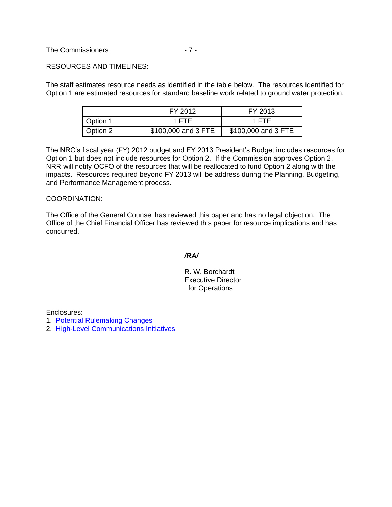#### RESOURCES AND TIMELINES:

The staff estimates resource needs as identified in the table below. The resources identified for Option 1 are estimated resources for standard baseline work related to ground water protection.

|          | FY 2012             | FY 2013             |
|----------|---------------------|---------------------|
| Option 1 | 1 FTF               | 1 FTF               |
| Option 2 | \$100,000 and 3 FTE | \$100,000 and 3 FTE |

The NRC"s fiscal year (FY) 2012 budget and FY 2013 President"s Budget includes resources for Option 1 but does not include resources for Option 2. If the Commission approves Option 2, NRR will notify OCFO of the resources that will be reallocated to fund Option 2 along with the impacts. Resources required beyond FY 2013 will be address during the Planning, Budgeting, and Performance Management process.

#### COORDINATION:

The Office of the General Counsel has reviewed this paper and has no legal objection. The Office of the Chief Financial Officer has reviewed this paper for resource implications and has concurred.

*/RA/* 

 R. W. Borchardt Executive Director for Operations

Enclosures:

- [1. Potential Rulemaking Changes](#page-7-0)
- [2. High-Level Communications Initiatives](#page-9-0)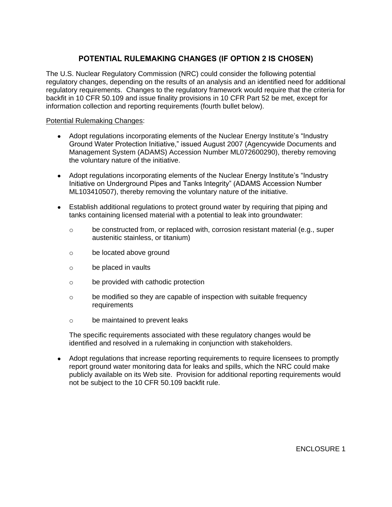# **POTENTIAL RULEMAKING CHANGES (IF OPTION 2 IS CHOSEN)**

<span id="page-7-0"></span>The U.S. Nuclear Regulatory Commission (NRC) could consider the following potential regulatory changes, depending on the results of an analysis and an identified need for additional regulatory requirements. Changes to the regulatory framework would require that the criteria for backfit in 10 CFR 50.109 and issue finality provisions in 10 CFR Part 52 be met, except for information collection and reporting requirements (fourth bullet below).

## Potential Rulemaking Changes:

- Adopt regulations incorporating elements of the Nuclear Energy Institute's "Industry Ground Water Protection Initiative," issued August 2007 (Agencywide Documents and Management System (ADAMS) Accession Number ML072600290), thereby removing the voluntary nature of the initiative.
- Adopt regulations incorporating elements of the Nuclear Energy Institute's "Industry" Initiative on Underground Pipes and Tanks Integrity" (ADAMS Accession Number ML103410507), thereby removing the voluntary nature of the initiative.
- Establish additional regulations to protect ground water by requiring that piping and tanks containing licensed material with a potential to leak into groundwater:
	- $\circ$  be constructed from, or replaced with, corrosion resistant material (e.g., super austenitic stainless, or titanium)
	- o be located above ground
	- o be placed in vaults
	- o be provided with cathodic protection
	- o be modified so they are capable of inspection with suitable frequency requirements
	- o be maintained to prevent leaks

The specific requirements associated with these regulatory changes would be identified and resolved in a rulemaking in conjunction with stakeholders.

 Adopt regulations that increase reporting requirements to require licensees to promptly report ground water monitoring data for leaks and spills, which the NRC could make publicly available on its Web site. Provision for additional reporting requirements would not be subject to the 10 CFR 50.109 backfit rule.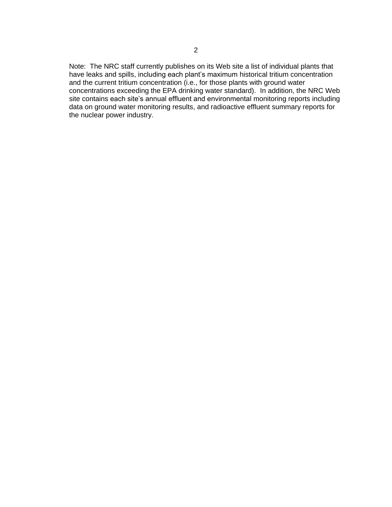Note: The NRC staff currently publishes on its Web site a list of individual plants that have leaks and spills, including each plant's maximum historical tritium concentration and the current tritium concentration (i.e., for those plants with ground water concentrations exceeding the EPA drinking water standard). In addition, the NRC Web site contains each site's annual effluent and environmental monitoring reports including data on ground water monitoring results, and radioactive effluent summary reports for the nuclear power industry.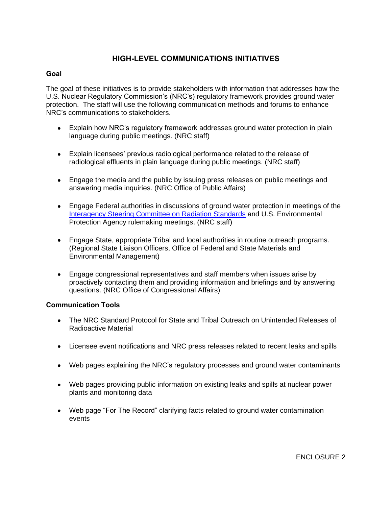## **HIGH-LEVEL COMMUNICATIONS INITIATIVES**

## <span id="page-9-0"></span>**Goal**

The goal of these initiatives is to provide stakeholders with information that addresses how the U.S. Nuclear Regulatory Commission"s (NRC"s) regulatory framework provides ground water protection. The staff will use the following communication methods and forums to enhance NRC"s communications to stakeholders.

- Explain how NRC"s regulatory framework addresses ground water protection in plain language during public meetings. (NRC staff)
- Explain licensees" previous radiological performance related to the release of radiological effluents in plain language during public meetings. (NRC staff)
- Engage the media and the public by issuing press releases on public meetings and answering media inquiries. (NRC Office of Public Affairs)
- Engage Federal authorities in discussions of ground water protection in meetings of the [Interagency Steering Committee on Radiation Standards](http://www.google.com/url?sa=t&rct=j&q=&esrc=s&frm=1&source=web&cd=1&cts=1330711130014&ved=0CCEQFjAA&url=http%3A%2F%2Fwww.iscors.org%2F&ei=lApRT9CBLObZ0QH2xfm9DQ&usg=AFQjCNE144wgJh3O3tUheONnHBE1r2eewA&sig2=XoYkvuafv_MgSwMSOhxabg) and U.S. Environmental Protection Agency rulemaking meetings. (NRC staff)
- Engage State, appropriate Tribal and local authorities in routine outreach programs. (Regional State Liaison Officers, Office of Federal and State Materials and Environmental Management)
- Engage congressional representatives and staff members when issues arise by proactively contacting them and providing information and briefings and by answering questions. (NRC Office of Congressional Affairs)

## **Communication Tools**

- The NRC Standard Protocol for State and Tribal Outreach on Unintended Releases of Radioactive Material
- Licensee event notifications and NRC press releases related to recent leaks and spills
- Web pages explaining the NRC"s regulatory processes and ground water contaminants
- Web pages providing public information on existing leaks and spills at nuclear power plants and monitoring data
- Web page "For The Record" clarifying facts related to ground water contamination events